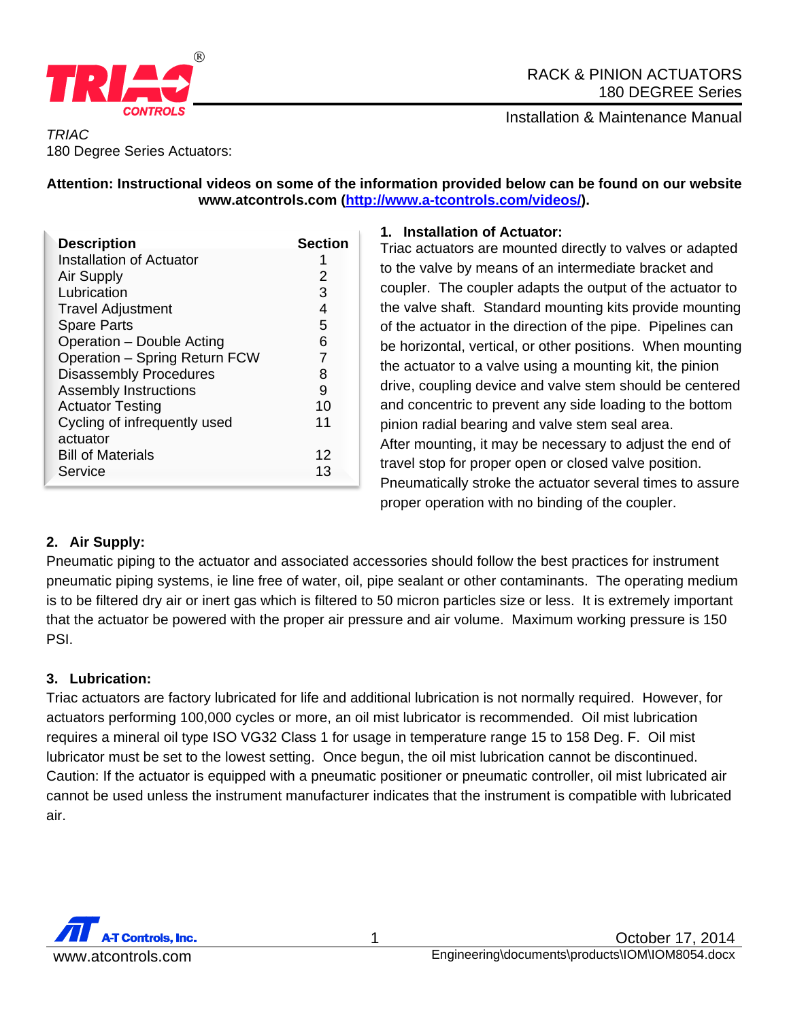

## RACK & PINION ACTUATORS 180 DEGREE Series

Installation & Maintenance Manual

### *TRIAC*  180 Degree Series Actuators:

## **Attention: Instructional videos on some of the information provided below can be found on our website www.atcontrols.com (http://www.a-tcontrols.com/videos/).**

| <b>Description</b>            | <b>Section</b> |
|-------------------------------|----------------|
| Installation of Actuator      |                |
| Air Supply                    | 2              |
| Lubrication                   | 3              |
| <b>Travel Adjustment</b>      | 4              |
| <b>Spare Parts</b>            | 5              |
| Operation - Double Acting     | 6              |
| Operation - Spring Return FCW | 7              |
| <b>Disassembly Procedures</b> | 8              |
| <b>Assembly Instructions</b>  | 9              |
| <b>Actuator Testing</b>       | 10             |
| Cycling of infrequently used  | 11             |
| actuator                      |                |
| <b>Bill of Materials</b>      | 12             |
| Service                       | 13             |

## **1. Installation of Actuator:**

Triac actuators are mounted directly to valves or adapted to the valve by means of an intermediate bracket and coupler. The coupler adapts the output of the actuator to the valve shaft. Standard mounting kits provide mounting of the actuator in the direction of the pipe. Pipelines can be horizontal, vertical, or other positions. When mounting the actuator to a valve using a mounting kit, the pinion drive, coupling device and valve stem should be centered and concentric to prevent any side loading to the bottom pinion radial bearing and valve stem seal area. After mounting, it may be necessary to adjust the end of travel stop for proper open or closed valve position. Pneumatically stroke the actuator several times to assure proper operation with no binding of the coupler.

## **2. Air Supply:**

Pneumatic piping to the actuator and associated accessories should follow the best practices for instrument pneumatic piping systems, ie line free of water, oil, pipe sealant or other contaminants. The operating medium is to be filtered dry air or inert gas which is filtered to 50 micron particles size or less. It is extremely important that the actuator be powered with the proper air pressure and air volume. Maximum working pressure is 150 PSI.

## **3. Lubrication:**

Triac actuators are factory lubricated for life and additional lubrication is not normally required. However, for actuators performing 100,000 cycles or more, an oil mist lubricator is recommended. Oil mist lubrication requires a mineral oil type ISO VG32 Class 1 for usage in temperature range 15 to 158 Deg. F. Oil mist lubricator must be set to the lowest setting. Once begun, the oil mist lubrication cannot be discontinued. Caution: If the actuator is equipped with a pneumatic positioner or pneumatic controller, oil mist lubricated air cannot be used unless the instrument manufacturer indicates that the instrument is compatible with lubricated air.

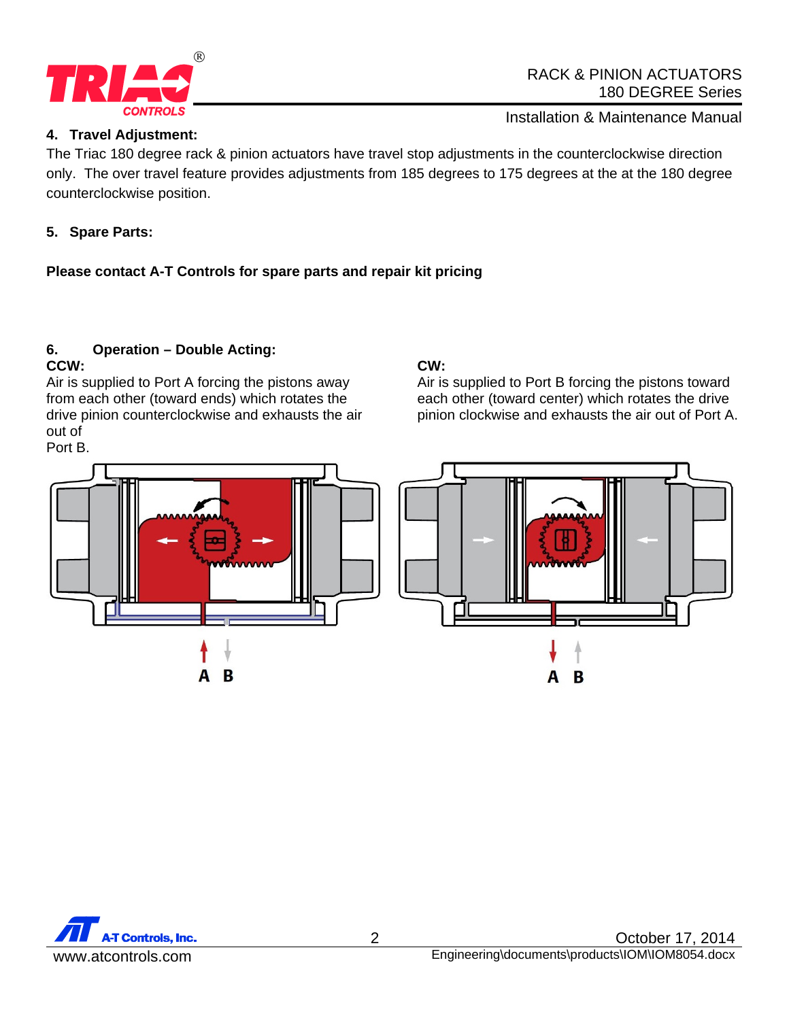

### **4. Travel Adjustment:**

Installation & Maintenance Manual

The Triac 180 degree rack & pinion actuators have travel stop adjustments in the counterclockwise direction only. The over travel feature provides adjustments from 185 degrees to 175 degrees at the at the 180 degree counterclockwise position.

## **5. Spare Parts:**

## **Please contact A-T Controls for spare parts and repair kit pricing**

## **6. Operation – Double Acting:**

## **CCW:**

Air is supplied to Port A forcing the pistons away from each other (toward ends) which rotates the drive pinion counterclockwise and exhausts the air out of Port B.

# **CW:**

Air is supplied to Port B forcing the pistons toward each other (toward center) which rotates the drive pinion clockwise and exhausts the air out of Port A.

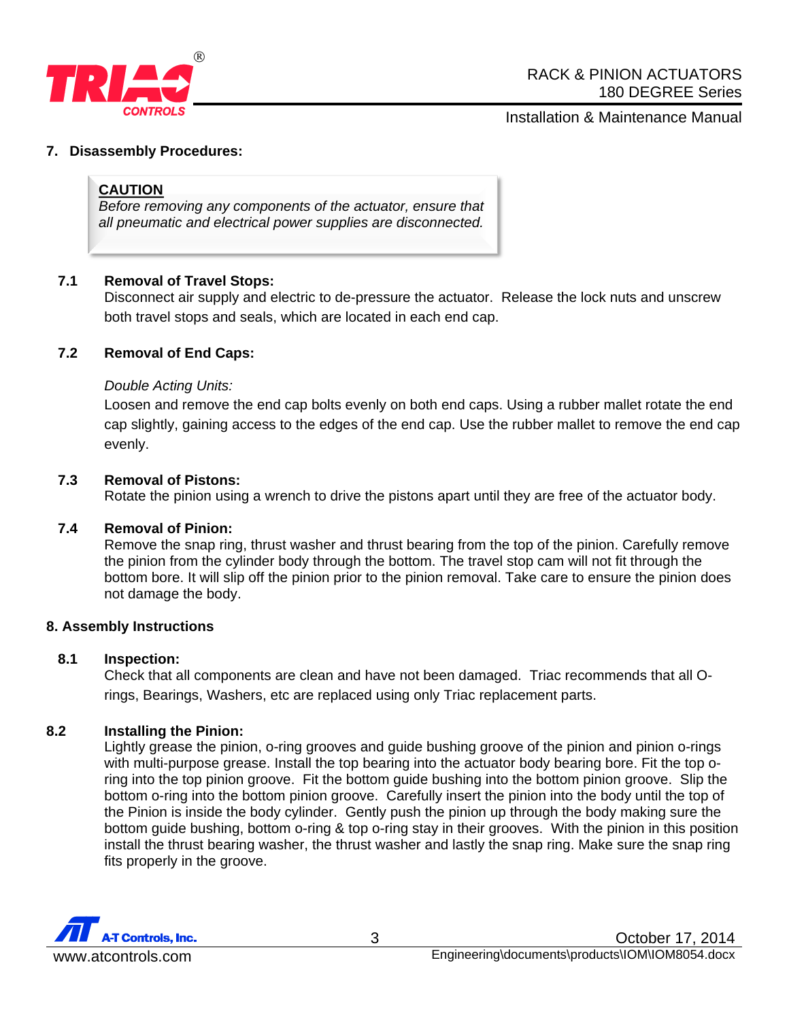

## Installation & Maintenance Manual

#### **7. Disassembly Procedures:**

#### **CAUTION**

*Before removing any components of the actuator, ensure that all pneumatic and electrical power supplies are disconnected.* 

#### **7.1 Removal of Travel Stops:**

Disconnect air supply and electric to de-pressure the actuator. Release the lock nuts and unscrew both travel stops and seals, which are located in each end cap.

#### **7.2 Removal of End Caps:**

#### *Double Acting Units:*

Loosen and remove the end cap bolts evenly on both end caps. Using a rubber mallet rotate the end cap slightly, gaining access to the edges of the end cap. Use the rubber mallet to remove the end cap evenly.

#### **7.3 Removal of Pistons:**

Rotate the pinion using a wrench to drive the pistons apart until they are free of the actuator body.

#### **7.4 Removal of Pinion:**

Remove the snap ring, thrust washer and thrust bearing from the top of the pinion. Carefully remove the pinion from the cylinder body through the bottom. The travel stop cam will not fit through the bottom bore. It will slip off the pinion prior to the pinion removal. Take care to ensure the pinion does not damage the body.

#### **8. Assembly Instructions**

#### **8.1 Inspection:**

Check that all components are clean and have not been damaged. Triac recommends that all Orings, Bearings, Washers, etc are replaced using only Triac replacement parts.

#### **8.2 Installing the Pinion:**

Lightly grease the pinion, o-ring grooves and guide bushing groove of the pinion and pinion o-rings with multi-purpose grease. Install the top bearing into the actuator body bearing bore. Fit the top oring into the top pinion groove. Fit the bottom guide bushing into the bottom pinion groove. Slip the bottom o-ring into the bottom pinion groove. Carefully insert the pinion into the body until the top of the Pinion is inside the body cylinder. Gently push the pinion up through the body making sure the bottom guide bushing, bottom o-ring & top o-ring stay in their grooves. With the pinion in this position install the thrust bearing washer, the thrust washer and lastly the snap ring. Make sure the snap ring fits properly in the groove.